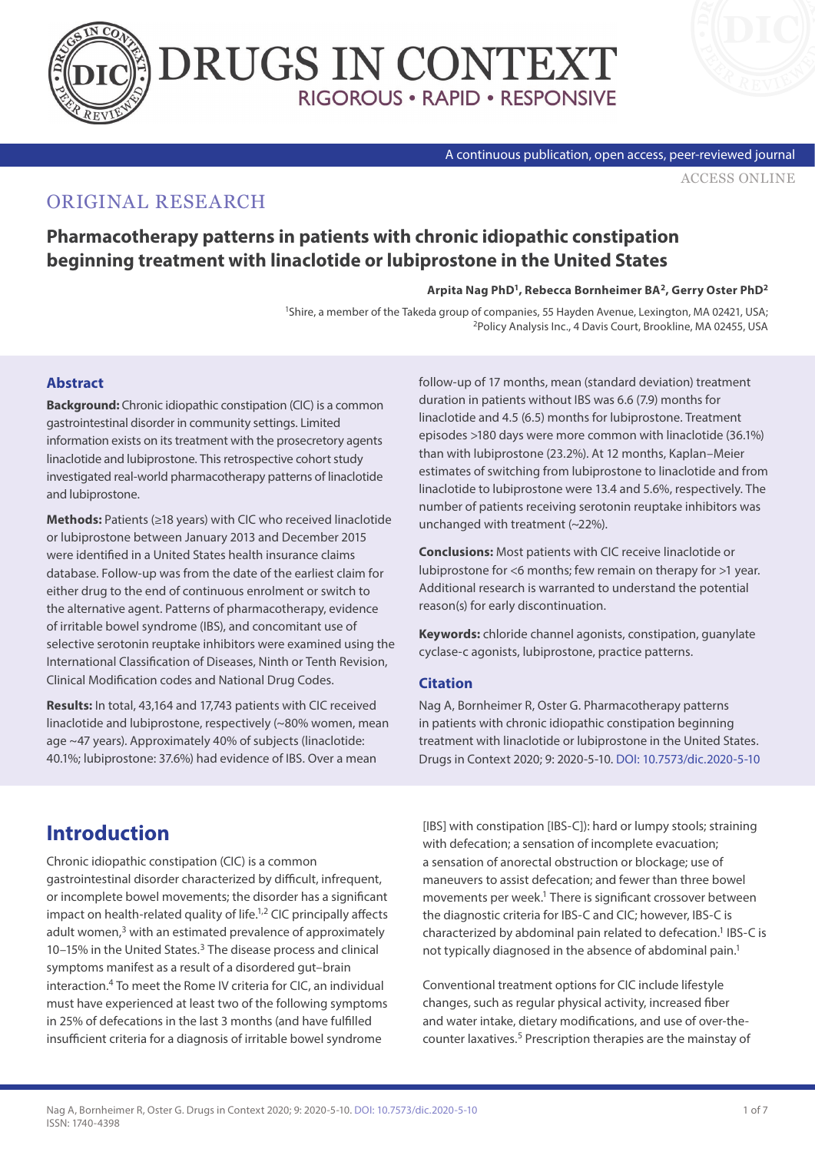



A continuous publication, open access, peer-reviewed journal

[ACCESS ONLINE](https://www.drugsincontext.com/pharmacotherapy-patterns-in-patients-with-chronic-idiopathic-constipation-beginning-treatment-with-linaclotide-or-lubiprostone-in-the-united-states)

## ORIGINAL RESEARCH

### **Pharmacotherapy patterns in patients with chronic idiopathic constipation beginning treatment with linaclotide or lubiprostone in the United States**

#### **Arpita Nag PhD1, Rebecca Bornheimer BA2, Gerry Oster PhD2**

<sup>1</sup>Shire, a member of the Takeda group of companies, 55 Hayden Avenue, Lexington, MA 02421, USA;<br><sup>2</sup>Policy Analysis Inc., 4 Davis Court, Brookline, MA 02455, USA

#### **Abstract**

**Background:** Chronic idiopathic constipation (CIC) is a common gastrointestinal disorder in community settings. Limited information exists on its treatment with the prosecretory agents linaclotide and lubiprostone. This retrospective cohort study investigated real-world pharmacotherapy patterns of linaclotide and lubiprostone.

**Methods:** Patients (≥18 years) with CIC who received linaclotide or lubiprostone between January 2013 and December 2015 were identified in a United States health insurance claims database. Follow-up was from the date of the earliest claim for either drug to the end of continuous enrolment or switch to the alternative agent. Patterns of pharmacotherapy, evidence of irritable bowel syndrome (IBS), and concomitant use of selective serotonin reuptake inhibitors were examined using the International Classification of Diseases, Ninth or Tenth Revision, Clinical Modification codes and National Drug Codes.

**Results:** In total, 43,164 and 17,743 patients with CIC received linaclotide and lubiprostone, respectively (~80% women, mean age ~47 years). Approximately 40% of subjects (linaclotide: 40.1%; lubiprostone: 37.6%) had evidence of IBS. Over a mean

follow-up of 17 months, mean (standard deviation) treatment duration in patients without IBS was 6.6 (7.9) months for linaclotide and 4.5 (6.5) months for lubiprostone. Treatment episodes >180 days were more common with linaclotide (36.1%) than with lubiprostone (23.2%). At 12 months, Kaplan–Meier estimates of switching from lubiprostone to linaclotide and from linaclotide to lubiprostone were 13.4 and 5.6%, respectively. The number of patients receiving serotonin reuptake inhibitors was unchanged with treatment (~22%).

**Conclusions:** Most patients with CIC receive linaclotide or lubiprostone for <6 months; few remain on therapy for >1 year. Additional research is warranted to understand the potential reason(s) for early discontinuation.

**Keywords:** chloride channel agonists, constipation, guanylate cyclase-c agonists, lubiprostone, practice patterns.

#### **Citation**

Nag A, Bornheimer R, Oster G. Pharmacotherapy patterns in patients with chronic idiopathic constipation beginning treatment with linaclotide or lubiprostone in the United States. Drugs in Context 2020; 9: 2020-5-10. [DOI: 10.7573/dic.2020-5-10](http://doi.org/10.7573/dic.2020-5-10)

## **Introduction**

Chronic idiopathic constipation (CIC) is a common gastrointestinal disorder characterized by difficult, infrequent, or incomplete bowel movements; the disorder has a significant impact on health-related quality of life. $1,2$  CIC principally affects adult women, $3$  with an estimated prevalence of approximately 10–15% in the United States.3 The disease process and clinical symptoms manifest as a result of a disordered gut–brain interaction.4 To meet the Rome IV criteria for CIC, an individual must have experienced at least two of the following symptoms in 25% of defecations in the last 3 months (and have fulfilled insufficient criteria for a diagnosis of irritable bowel syndrome

[IBS] with constipation [IBS-C]): hard or lumpy stools; straining with defecation; a sensation of incomplete evacuation; a sensation of anorectal obstruction or blockage; use of maneuvers to assist defecation; and fewer than three bowel movements per week.<sup>1</sup> There is significant crossover between the diagnostic criteria for IBS-C and CIC; however, IBS-C is characterized by abdominal pain related to defecation.<sup>1</sup> IBS-C is not typically diagnosed in the absence of abdominal pain.<sup>1</sup>

Conventional treatment options for CIC include lifestyle changes, such as regular physical activity, increased fiber and water intake, dietary modifications, and use of over-thecounter laxatives.<sup>5</sup> Prescription therapies are the mainstay of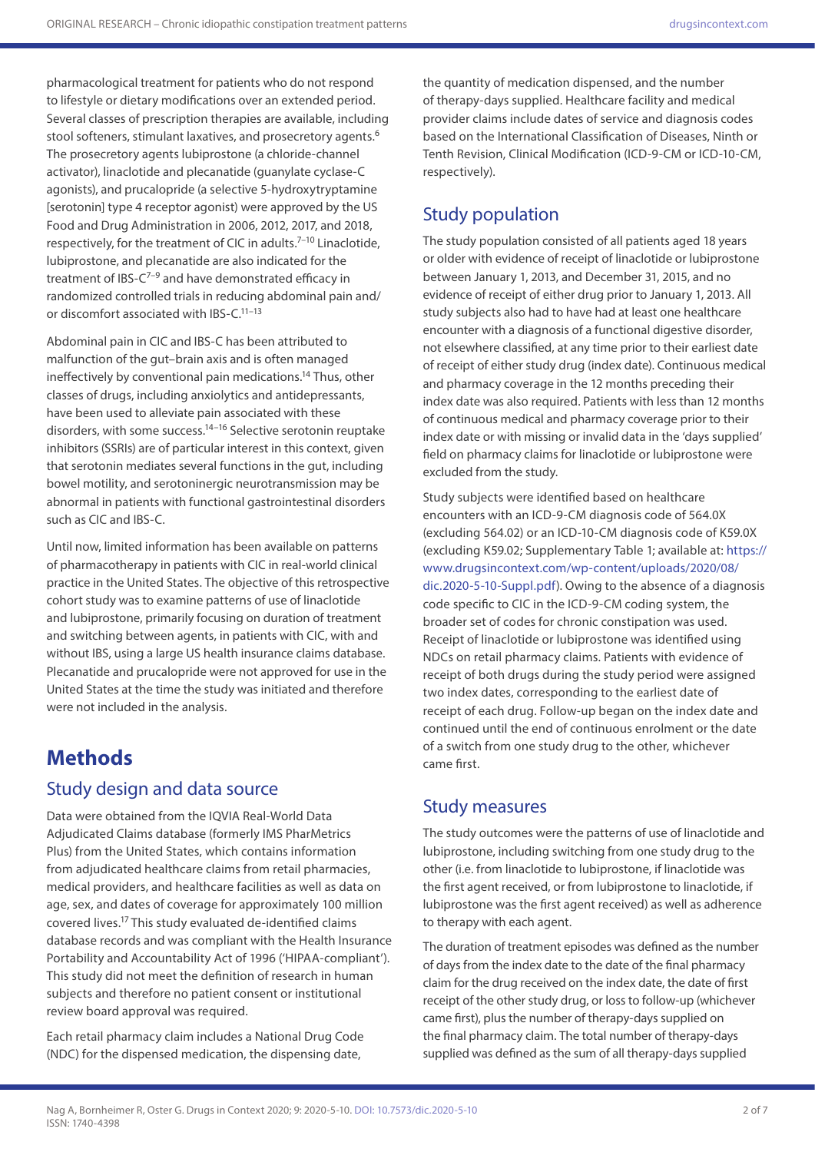pharmacological treatment for patients who do not respond to lifestyle or dietary modifications over an extended period. Several classes of prescription therapies are available, including stool softeners, stimulant laxatives, and prosecretory agents.<sup>6</sup> The prosecretory agents lubiprostone (a chloride-channel activator), linaclotide and plecanatide (guanylate cyclase-C agonists), and prucalopride (a selective 5-hydroxytryptamine [serotonin] type 4 receptor agonist) were approved by the US Food and Drug Administration in 2006, 2012, 2017, and 2018, respectively, for the treatment of CIC in adults.7–10 Linaclotide, lubiprostone, and plecanatide are also indicated for the treatment of IBS- $C^{7-9}$  and have demonstrated efficacy in randomized controlled trials in reducing abdominal pain and/ or discomfort associated with IBS-C.11–13

Abdominal pain in CIC and IBS-C has been attributed to malfunction of the gut–brain axis and is often managed ineffectively by conventional pain medications.14 Thus, other classes of drugs, including anxiolytics and antidepressants, have been used to alleviate pain associated with these disorders, with some success.<sup>14-16</sup> Selective serotonin reuptake inhibitors (SSRIs) are of particular interest in this context, given that serotonin mediates several functions in the gut, including bowel motility, and serotoninergic neurotransmission may be abnormal in patients with functional gastrointestinal disorders such as CIC and IBS-C.

Until now, limited information has been available on patterns of pharmacotherapy in patients with CIC in real-world clinical practice in the United States. The objective of this retrospective cohort study was to examine patterns of use of linaclotide and lubiprostone, primarily focusing on duration of treatment and switching between agents, in patients with CIC, with and without IBS, using a large US health insurance claims database. Plecanatide and prucalopride were not approved for use in the United States at the time the study was initiated and therefore were not included in the analysis.

## **Methods**

### Study design and data source

Data were obtained from the IQVIA Real-World Data Adjudicated Claims database (formerly IMS PharMetrics Plus) from the United States, which contains information from adjudicated healthcare claims from retail pharmacies, medical providers, and healthcare facilities as well as data on age, sex, and dates of coverage for approximately 100 million covered lives.17 This study evaluated de-identified claims database records and was compliant with the Health Insurance Portability and Accountability Act of 1996 ('HIPAA-compliant'). This study did not meet the definition of research in human subjects and therefore no patient consent or institutional review board approval was required.

Each retail pharmacy claim includes a National Drug Code (NDC) for the dispensed medication, the dispensing date,

the quantity of medication dispensed, and the number of therapy-days supplied. Healthcare facility and medical provider claims include dates of service and diagnosis codes based on the International Classification of Diseases, Ninth or Tenth Revision, Clinical Modification (ICD-9-CM or ICD-10-CM, respectively).

### Study population

The study population consisted of all patients aged 18 years or older with evidence of receipt of linaclotide or lubiprostone between January 1, 2013, and December 31, 2015, and no evidence of receipt of either drug prior to January 1, 2013. All study subjects also had to have had at least one healthcare encounter with a diagnosis of a functional digestive disorder, not elsewhere classified, at any time prior to their earliest date of receipt of either study drug (index date). Continuous medical and pharmacy coverage in the 12 months preceding their index date was also required. Patients with less than 12 months of continuous medical and pharmacy coverage prior to their index date or with missing or invalid data in the 'days supplied' field on pharmacy claims for linaclotide or lubiprostone were excluded from the study.

Study subjects were identified based on healthcare encounters with an ICD-9-CM diagnosis code of 564.0X (excluding 564.02) or an ICD-10-CM diagnosis code of K59.0X (excluding K59.02; Supplementary Table 1; available at: [https://](https://www.drugsincontext.com/wp-content/uploads/2020/08/dic.2020-5-10-Suppl.pdf) [www.drugsincontext.com/wp-content/uploads/2020/08/](https://www.drugsincontext.com/wp-content/uploads/2020/08/dic.2020-5-10-Suppl.pdf) [dic.2020-5-10-Suppl.pdf](https://www.drugsincontext.com/wp-content/uploads/2020/08/dic.2020-5-10-Suppl.pdf)). Owing to the absence of a diagnosis code specific to CIC in the ICD-9-CM coding system, the broader set of codes for chronic constipation was used. Receipt of linaclotide or lubiprostone was identified using NDCs on retail pharmacy claims. Patients with evidence of receipt of both drugs during the study period were assigned two index dates, corresponding to the earliest date of receipt of each drug. Follow-up began on the index date and continued until the end of continuous enrolment or the date of a switch from one study drug to the other, whichever came first.

### Study measures

The study outcomes were the patterns of use of linaclotide and lubiprostone, including switching from one study drug to the other (i.e. from linaclotide to lubiprostone, if linaclotide was the first agent received, or from lubiprostone to linaclotide, if lubiprostone was the first agent received) as well as adherence to therapy with each agent.

The duration of treatment episodes was defined as the number of days from the index date to the date of the final pharmacy claim for the drug received on the index date, the date of first receipt of the other study drug, or loss to follow-up (whichever came first), plus the number of therapy-days supplied on the final pharmacy claim. The total number of therapy-days supplied was defined as the sum of all therapy-days supplied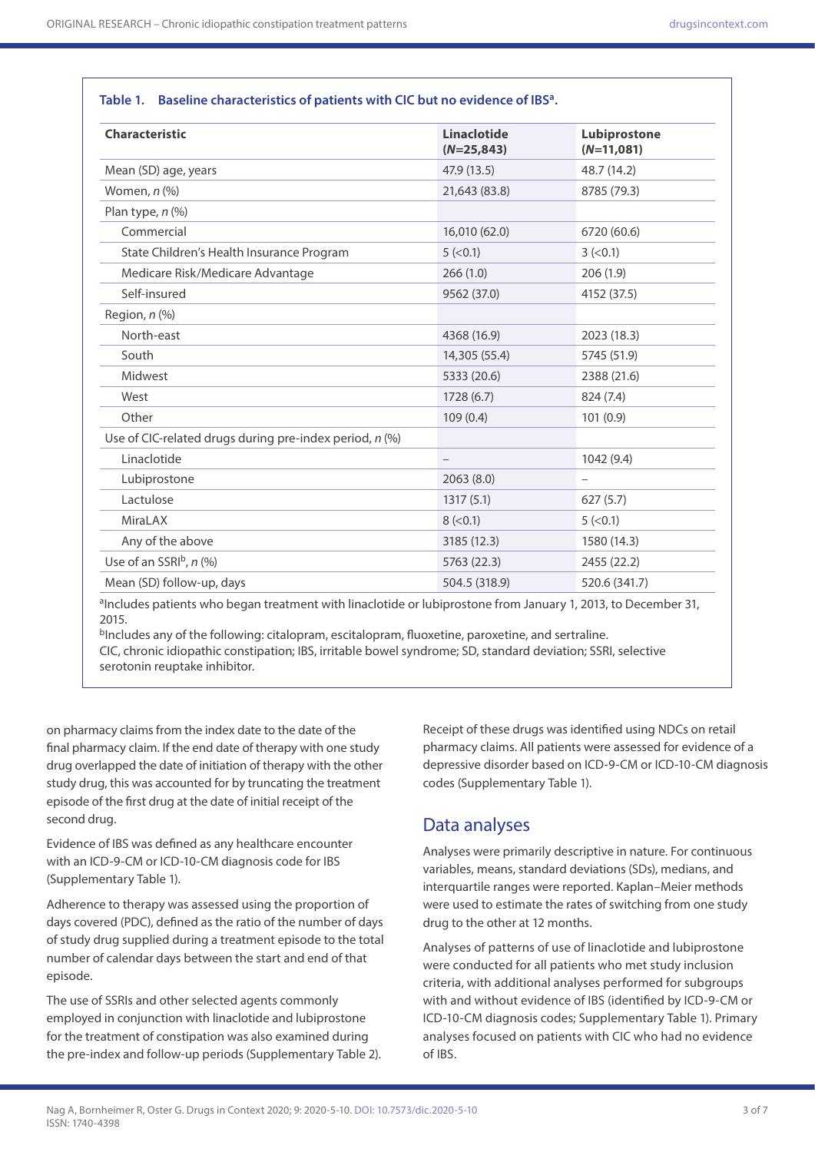**Table 1. Baseline characteristics of patients with CIC but no evidence of IBSa.**

| <b>Characteristic</b>                                     | <b>Linaclotide</b><br>$(N=25,843)$ | Lubiprostone<br>$(N=11,081)$ |
|-----------------------------------------------------------|------------------------------------|------------------------------|
| Mean (SD) age, years                                      | 47.9 (13.5)                        | 48.7 (14.2)                  |
| Women, $n$ $%$                                            | 21,643 (83.8)                      | 8785 (79.3)                  |
| Plan type, $n$ $(\%)$                                     |                                    |                              |
| Commercial                                                | 16,010 (62.0)                      | 6720 (60.6)                  |
| State Children's Health Insurance Program                 | 5 (< 0.1)                          | 3 (< 0.1)                    |
| Medicare Risk/Medicare Advantage                          | 266(1.0)                           | 206(1.9)                     |
| Self-insured                                              | 9562 (37.0)                        | 4152 (37.5)                  |
| Region, $n$ $%$                                           |                                    |                              |
| North-east                                                | 4368 (16.9)                        | 2023 (18.3)                  |
| South                                                     | 14,305 (55.4)                      | 5745 (51.9)                  |
| Midwest                                                   | 5333 (20.6)                        | 2388 (21.6)                  |
| West                                                      | 1728(6.7)                          | 824 (7.4)                    |
| Other                                                     | 109(0.4)                           | 101(0.9)                     |
| Use of CIC-related drugs during pre-index period, $n$ (%) |                                    |                              |
| Linaclotide                                               |                                    | 1042 (9.4)                   |
| Lubiprostone                                              | 2063(8.0)                          |                              |
| Lactulose                                                 | 1317(5.1)                          | 627(5.7)                     |
| <b>MiraLAX</b>                                            | 8 (< 0.1)                          | 5 (< 0.1)                    |
| Any of the above                                          | 3185 (12.3)                        | 1580 (14.3)                  |
| Use of an SSRIb, n (%)                                    | 5763 (22.3)                        | 2455 (22.2)                  |
| Mean (SD) follow-up, days                                 | 504.5 (318.9)                      | 520.6 (341.7)                |

<sup>a</sup>Includes patients who began treatment with linaclotide or lubiprostone from January 1, 2013, to December 31, 2015.

bIncludes any of the following: citalopram, escitalopram, fluoxetine, paroxetine, and sertraline. CIC, chronic idiopathic constipation; IBS, irritable bowel syndrome; SD, standard deviation; SSRI, selective serotonin reuptake inhibitor.

on pharmacy claims from the index date to the date of the final pharmacy claim. If the end date of therapy with one study drug overlapped the date of initiation of therapy with the other study drug, this was accounted for by truncating the treatment episode of the first drug at the date of initial receipt of the second drug.

Evidence of IBS was defined as any healthcare encounter with an ICD-9-CM or ICD-10-CM diagnosis code for IBS (Supplementary Table 1).

Adherence to therapy was assessed using the proportion of days covered (PDC), defined as the ratio of the number of days of study drug supplied during a treatment episode to the total number of calendar days between the start and end of that episode.

The use of SSRIs and other selected agents commonly employed in conjunction with linaclotide and lubiprostone for the treatment of constipation was also examined during the pre-index and follow-up periods (Supplementary Table 2).

Receipt of these drugs was identified using NDCs on retail pharmacy claims. All patients were assessed for evidence of a depressive disorder based on ICD-9-CM or ICD-10-CM diagnosis codes (Supplementary Table 1).

### Data analyses

Analyses were primarily descriptive in nature. For continuous variables, means, standard deviations (SDs), medians, and interquartile ranges were reported. Kaplan–Meier methods were used to estimate the rates of switching from one study drug to the other at 12 months.

Analyses of patterns of use of linaclotide and lubiprostone were conducted for all patients who met study inclusion criteria, with additional analyses performed for subgroups with and without evidence of IBS (identified by ICD-9-CM or ICD-10-CM diagnosis codes; Supplementary Table 1). Primary analyses focused on patients with CIC who had no evidence of IBS.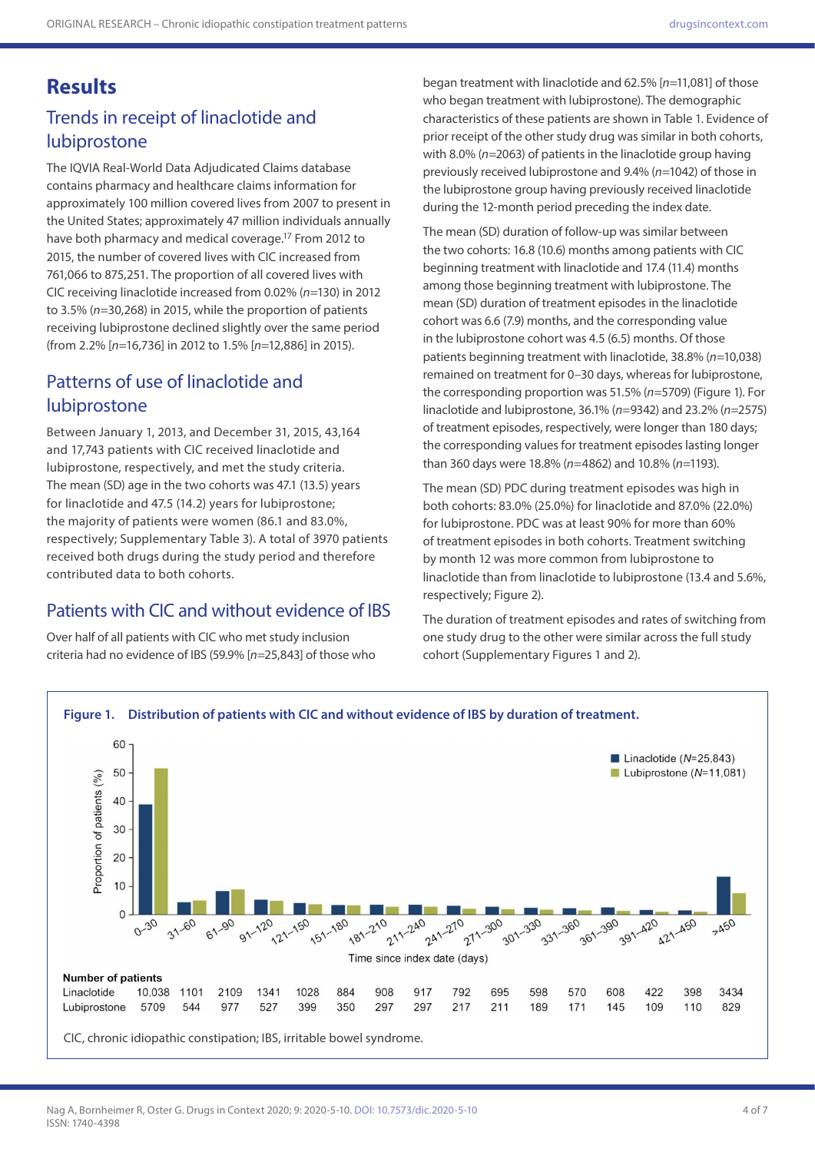## **Results**

## Trends in receipt of linaclotide and lubiprostone

The IQVIA Real-World Data Adjudicated Claims database contains pharmacy and healthcare claims information for approximately 100 million covered lives from 2007 to present in the United States; approximately 47 million individuals annually have both pharmacy and medical coverage.17 From 2012 to 2015, the number of covered lives with CIC increased from 761,066 to 875,251. The proportion of all covered lives with CIC receiving linaclotide increased from 0.02% (*n*=130) in 2012 to 3.5% (*n*=30,268) in 2015, while the proportion of patients receiving lubiprostone declined slightly over the same period (from 2.2% [*n*=16,736] in 2012 to 1.5% [*n*=12,886] in 2015).

### Patterns of use of linaclotide and lubiprostone

Between January 1, 2013, and December 31, 2015, 43,164 and 17,743 patients with CIC received linaclotide and lubiprostone, respectively, and met the study criteria. The mean (SD) age in the two cohorts was 47.1 (13.5) years for linaclotide and 47.5 (14.2) years for lubiprostone; the majority of patients were women (86.1 and 83.0%, respectively; Supplementary Table 3). A total of 3970 patients received both drugs during the study period and therefore contributed data to both cohorts.

## Patients with CIC and without evidence of IBS

Over half of all patients with CIC who met study inclusion criteria had no evidence of IBS (59.9% [*n*=25,843] of those who

began treatment with linaclotide and 62.5% [*n*=11,081] of those who began treatment with lubiprostone). The demographic characteristics of these patients are shown in Table 1. Evidence of prior receipt of the other study drug was similar in both cohorts, with 8.0% (*n*=2063) of patients in the linaclotide group having previously received lubiprostone and 9.4% (*n*=1042) of those in the lubiprostone group having previously received linaclotide during the 12-month period preceding the index date.

The mean (SD) duration of follow-up was similar between the two cohorts: 16.8 (10.6) months among patients with CIC beginning treatment with linaclotide and 17.4 (11.4) months among those beginning treatment with lubiprostone. The mean (SD) duration of treatment episodes in the linaclotide cohort was 6.6 (7.9) months, and the corresponding value in the lubiprostone cohort was 4.5 (6.5) months. Of those patients beginning treatment with linaclotide, 38.8% (*n*=10,038) remained on treatment for 0–30 days, whereas for lubiprostone, the corresponding proportion was 51.5% (*n*=5709) (Figure 1). For linaclotide and lubiprostone, 36.1% (*n*=9342) and 23.2% (*n*=2575) of treatment episodes, respectively, were longer than 180 days; the corresponding values for treatment episodes lasting longer than 360 days were 18.8% (*n*=4862) and 10.8% (*n*=1193).

The mean (SD) PDC during treatment episodes was high in both cohorts: 83.0% (25.0%) for linaclotide and 87.0% (22.0%) for lubiprostone. PDC was at least 90% for more than 60% of treatment episodes in both cohorts. Treatment switching by month 12 was more common from lubiprostone to linaclotide than from linaclotide to lubiprostone (13.4 and 5.6%, respectively; Figure 2).

The duration of treatment episodes and rates of switching from one study drug to the other were similar across the full study cohort (Supplementary Figures 1 and 2).

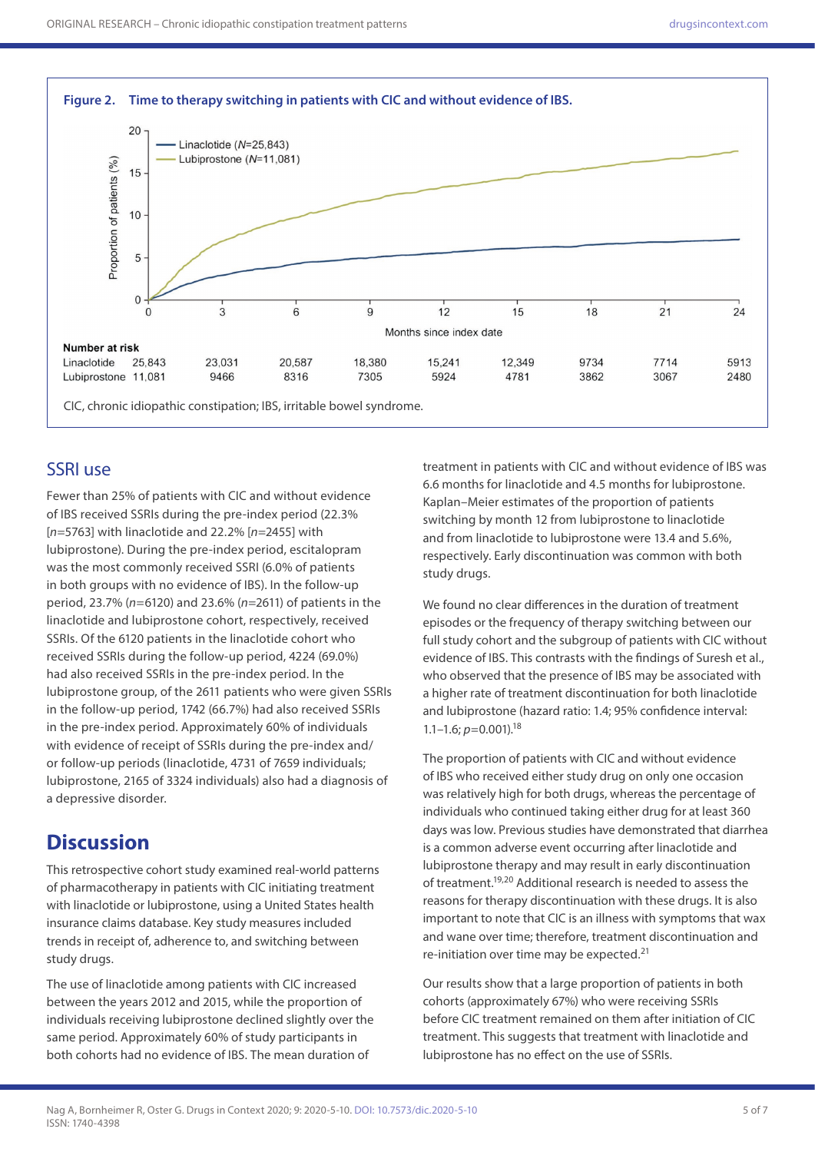

#### SSRI use

Fewer than 25% of patients with CIC and without evidence of IBS received SSRIs during the pre-index period (22.3% [*n*=5763] with linaclotide and 22.2% [*n*=2455] with lubiprostone). During the pre-index period, escitalopram was the most commonly received SSRI (6.0% of patients in both groups with no evidence of IBS). In the follow-up period, 23.7% (*n*=6120) and 23.6% (*n*=2611) of patients in the linaclotide and lubiprostone cohort, respectively, received SSRIs. Of the 6120 patients in the linaclotide cohort who received SSRIs during the follow-up period, 4224 (69.0%) had also received SSRIs in the pre-index period. In the lubiprostone group, of the 2611 patients who were given SSRIs in the follow-up period, 1742 (66.7%) had also received SSRIs in the pre-index period. Approximately 60% of individuals with evidence of receipt of SSRIs during the pre-index and/ or follow-up periods (linaclotide, 4731 of 7659 individuals; lubiprostone, 2165 of 3324 individuals) also had a diagnosis of a depressive disorder.

## **Discussion**

This retrospective cohort study examined real-world patterns of pharmacotherapy in patients with CIC initiating treatment with linaclotide or lubiprostone, using a United States health insurance claims database. Key study measures included trends in receipt of, adherence to, and switching between study drugs.

The use of linaclotide among patients with CIC increased between the years 2012 and 2015, while the proportion of individuals receiving lubiprostone declined slightly over the same period. Approximately 60% of study participants in both cohorts had no evidence of IBS. The mean duration of

treatment in patients with CIC and without evidence of IBS was 6.6 months for linaclotide and 4.5 months for lubiprostone. Kaplan–Meier estimates of the proportion of patients switching by month 12 from lubiprostone to linaclotide and from linaclotide to lubiprostone were 13.4 and 5.6%, respectively. Early discontinuation was common with both study drugs.

We found no clear differences in the duration of treatment episodes or the frequency of therapy switching between our full study cohort and the subgroup of patients with CIC without evidence of IBS. This contrasts with the findings of Suresh et al., who observed that the presence of IBS may be associated with a higher rate of treatment discontinuation for both linaclotide and lubiprostone (hazard ratio: 1.4; 95% confidence interval: 1.1–1.6; *p=*0.001).18

The proportion of patients with CIC and without evidence of IBS who received either study drug on only one occasion was relatively high for both drugs, whereas the percentage of individuals who continued taking either drug for at least 360 days was low. Previous studies have demonstrated that diarrhea is a common adverse event occurring after linaclotide and lubiprostone therapy and may result in early discontinuation of treatment.19,20 Additional research is needed to assess the reasons for therapy discontinuation with these drugs. It is also important to note that CIC is an illness with symptoms that wax and wane over time; therefore, treatment discontinuation and re-initiation over time may be expected.21

Our results show that a large proportion of patients in both cohorts (approximately 67%) who were receiving SSRIs before CIC treatment remained on them after initiation of CIC treatment. This suggests that treatment with linaclotide and lubiprostone has no effect on the use of SSRIs.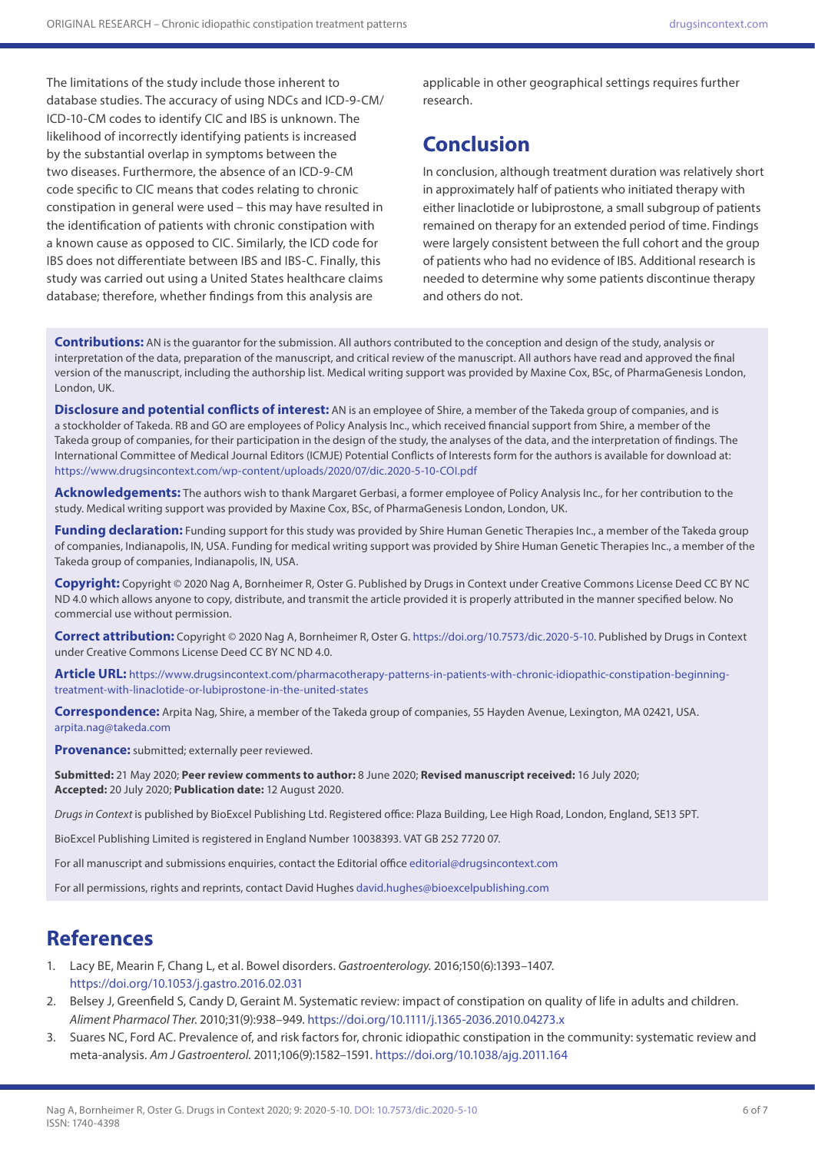The limitations of the study include those inherent to database studies. The accuracy of using NDCs and ICD-9-CM/ ICD-10-CM codes to identify CIC and IBS is unknown. The likelihood of incorrectly identifying patients is increased by the substantial overlap in symptoms between the two diseases. Furthermore, the absence of an ICD-9-CM code specific to CIC means that codes relating to chronic constipation in general were used – this may have resulted in the identification of patients with chronic constipation with a known cause as opposed to CIC. Similarly, the ICD code for IBS does not differentiate between IBS and IBS-C. Finally, this study was carried out using a United States healthcare claims database; therefore, whether findings from this analysis are

applicable in other geographical settings requires further research.

# **Conclusion**

In conclusion, although treatment duration was relatively short in approximately half of patients who initiated therapy with either linaclotide or lubiprostone, a small subgroup of patients remained on therapy for an extended period of time. Findings were largely consistent between the full cohort and the group of patients who had no evidence of IBS. Additional research is needed to determine why some patients discontinue therapy and others do not.

**Contributions:** AN is the guarantor for the submission. All authors contributed to the conception and design of the study, analysis or interpretation of the data, preparation of the manuscript, and critical review of the manuscript. All authors have read and approved the final version of the manuscript, including the authorship list. Medical writing support was provided by Maxine Cox, BSc, of PharmaGenesis London, London, UK.

**Disclosure and potential conflicts of interest:** AN is an employee of Shire, a member of the Takeda group of companies, and is a stockholder of Takeda. RB and GO are employees of Policy Analysis Inc., which received financial support from Shire, a member of the Takeda group of companies, for their participation in the design of the study, the analyses of the data, and the interpretation of findings. The International Committee of Medical Journal Editors (ICMJE) Potential Conflicts of Interests form for the authors is available for download at: <https://www.drugsincontext.com/wp-content/uploads/2020/07/dic.2020-5-10-COI.pdf>

**Acknowledgements:** The authors wish to thank Margaret Gerbasi, a former employee of Policy Analysis Inc., for her contribution to the study. Medical writing support was provided by Maxine Cox, BSc, of PharmaGenesis London, London, UK.

Funding declaration: Funding support for this study was provided by Shire Human Genetic Therapies Inc., a member of the Takeda group of companies, Indianapolis, IN, USA. Funding for medical writing support was provided by Shire Human Genetic Therapies Inc., a member of the Takeda group of companies, Indianapolis, IN, USA.

**Copyright:** Copyright © 2020 Nag A, Bornheimer R, Oster G. Published by Drugs in Context under Creative Commons License Deed CC BY NC ND 4.0 which allows anyone to copy, distribute, and transmit the article provided it is properly attributed in the manner specified below. No commercial use without permission.

**Correct attribution:** Copyright © 2020 Nag A, Bornheimer R, Oster G. [https://doi.org/10.7573/dic.2020-5-10.](https://doi.org/10.7573/dic.2020-5-10) Published by Drugs in Context under Creative Commons License Deed CC BY NC ND 4.0.

**Article URL:** [https://www.drugsincontext.com/pharmacotherapy-patterns-in-patients-with-chronic-idiopathic-constipation-beginning](https://www.drugsincontext.com/pharmacotherapy-patterns-in-patients-with-chronic-idiopathic-constipation-beginning-treatment-with-linaclotide-or-lubiprostone-in-the-united-states)[treatment-with-linaclotide-or-lubiprostone-in-the-united-states](https://www.drugsincontext.com/pharmacotherapy-patterns-in-patients-with-chronic-idiopathic-constipation-beginning-treatment-with-linaclotide-or-lubiprostone-in-the-united-states)

**Correspondence:** Arpita Nag, Shire, a member of the Takeda group of companies, 55 Hayden Avenue, Lexington, MA 02421, USA. [arpita.nag@takeda.com](mailto:arpita.nag@takeda.com)

**Provenance:** submitted; externally peer reviewed.

**Submitted:** 21 May 2020; **Peer review comments to author:** 8 June 2020; **Revised manuscript received:** 16 July 2020; **Accepted:** 20 July 2020; **Publication date:** 12 August 2020.

*Drugs in Context* is published by BioExcel Publishing Ltd. Registered office: Plaza Building, Lee High Road, London, England, SE13 5PT.

BioExcel Publishing Limited is registered in England Number 10038393. VAT GB 252 7720 07.

For all manuscript and submissions enquiries, contact the Editorial office [editorial@drugsincontext.com](mailto:editorial@drugsincontext.com)

For all permissions, rights and reprints, contact David Hughes [david.hughes@bioexcelpublishing.com](mailto:david.hughes@bioexcelpublishing.com)

# **References**

- 1. Lacy BE, Mearin F, Chang L, et al. Bowel disorders. *Gastroenterology.* 2016;150(6):1393–1407. <https://doi.org/10.1053/j.gastro.2016.02.031>
- 2. Belsey J, Greenfield S, Candy D, Geraint M. Systematic review: impact of constipation on quality of life in adults and children. *Aliment Pharmacol Ther.* 2010;31(9):938–949. <https://doi.org/10.1111/j.1365-2036.2010.04273.x>
- 3. Suares NC, Ford AC. Prevalence of, and risk factors for, chronic idiopathic constipation in the community: systematic review and meta-analysis. *Am J Gastroenterol.* 2011;106(9):1582–1591.<https://doi.org/10.1038/ajg.2011.164>